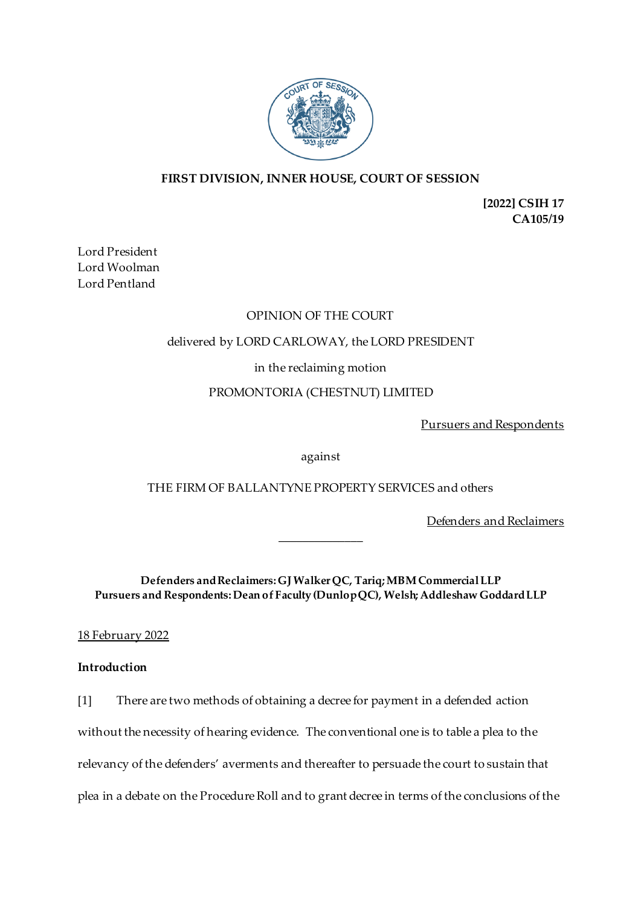

# **FIRST DIVISION, INNER HOUSE, COURT OF SESSION**

**[2022] CSIH 17 CA105/19**

Lord President Lord Woolman Lord Pentland

# OPINION OF THE COURT

# delivered by LORD CARLOWAY, the LORD PRESIDENT

in the reclaiming motion

# PROMONTORIA (CHESTNUT) LIMITED

Pursuers and Respondents

against

THE FIRM OF BALLANTYNE PROPERTY SERVICES and others

Defenders and Reclaimers

**Defenders and Reclaimers: GJ Walker QC, Tariq; MBM Commercial LLP Pursuers and Respondents:Dean of Faculty (Dunlop QC), Welsh; Addleshaw GoddardLLP**

\_\_\_\_\_\_\_\_\_\_\_\_\_\_

18 February 2022

## **Introduction**

[1] There are two methods of obtaining a decree for payment in a defended action without the necessity of hearing evidence. The conventional one is to table a plea to the relevancy of the defenders' averments and thereafter to persuade the court to sustain that plea in a debate on the Procedure Roll and to grant decree in terms of the conclusions of the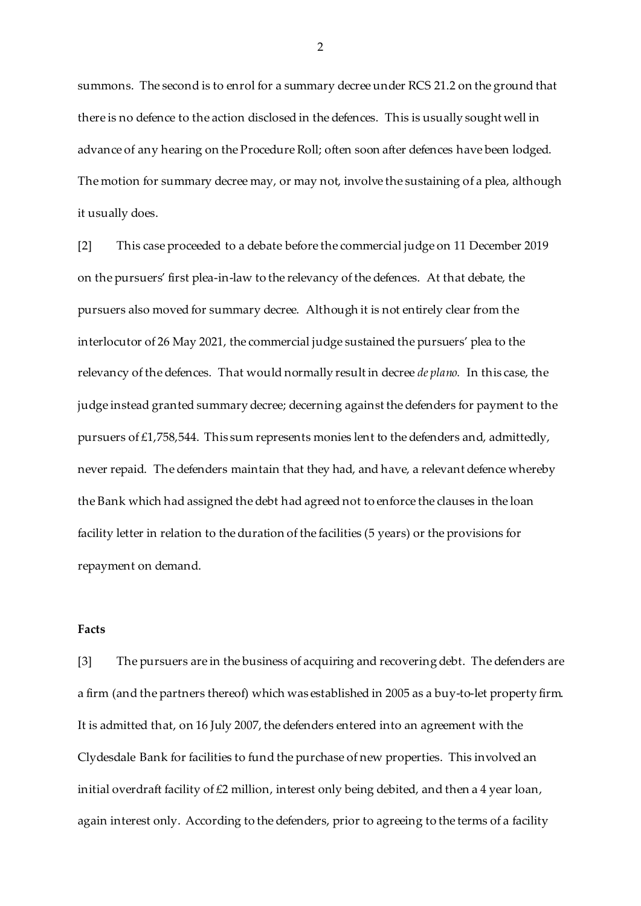summons. The second is to enrol for a summary decree under RCS 21.2 on the ground that there is no defence to the action disclosed in the defences. This is usually sought well in advance of any hearing on the Procedure Roll; often soon after defences have been lodged. The motion for summary decree may, or may not, involve the sustaining of a plea, although it usually does.

[2] This case proceeded to a debate before the commercial judge on 11 December 2019 on the pursuers' first plea-in-law to the relevancy of the defences. At that debate, the pursuers also moved for summary decree. Although it is not entirely clear from the interlocutor of 26 May 2021, the commercial judge sustained the pursuers' plea to the relevancy of the defences. That would normally result in decree *de plano.* In this case, the judge instead granted summary decree; decerning against the defenders for payment to the pursuers of £1,758,544. This sum represents monies lent to the defenders and, admittedly, never repaid. The defenders maintain that they had, and have, a relevant defence whereby the Bank which had assigned the debt had agreed not to enforce the clauses in the loan facility letter in relation to the duration of the facilities (5 years) or the provisions for repayment on demand.

# **Facts**

[3] The pursuers are in the business of acquiring and recovering debt. The defenders are a firm (and the partners thereof) which was established in 2005 as a buy-to-let property firm. It is admitted that, on 16 July 2007, the defenders entered into an agreement with the Clydesdale Bank for facilities to fund the purchase of new properties. This involved an initial overdraft facility of £2 million, interest only being debited, and then a 4 year loan, again interest only. According to the defenders, prior to agreeing to the terms of a facility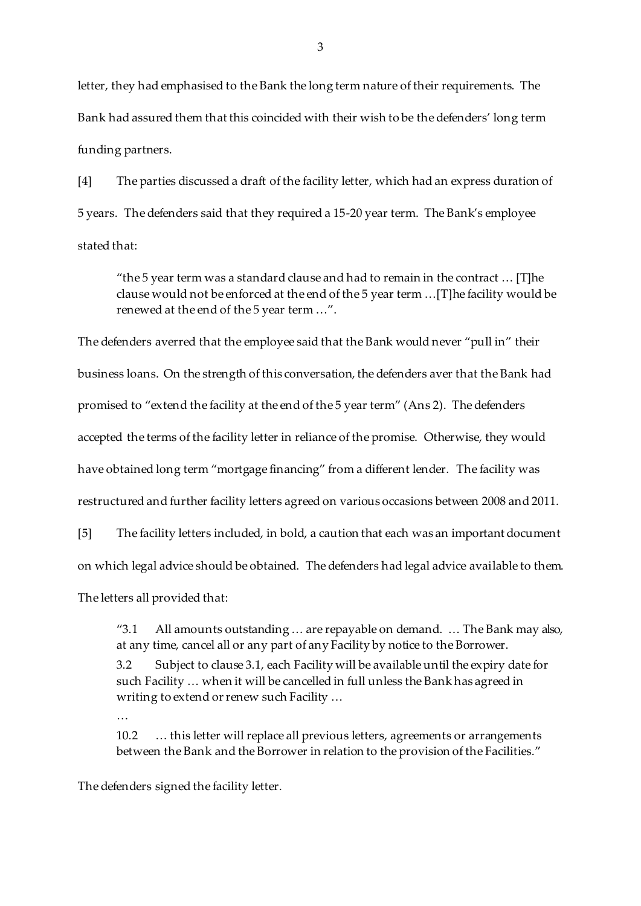letter, they had emphasised to the Bank the long term nature of their requirements. The Bank had assured them that this coincided with their wish to be the defenders' long term funding partners.

[4] The parties discussed a draft of the facility letter, which had an express duration of 5 years. The defenders said that they required a 15-20 year term. The Bank's employee stated that:

"the 5 year term was a standard clause and had to remain in the contract … [T]he clause would not be enforced at the end of the 5 year term …[T]he facility would be renewed at the end of the 5 year term …".

The defenders averred that the employee said that the Bank would never "pull in" their business loans. On the strength of this conversation, the defenders aver that the Bank had promised to "extend the facility at the end of the 5 year term" (Ans 2). The defenders accepted the terms of the facility letter in reliance of the promise. Otherwise, they would have obtained long term "mortgage financing" from a different lender. The facility was restructured and further facility letters agreed on various occasions between 2008 and 2011.

[5] The facility letters included, in bold, a caution that each was an important document on which legal advice should be obtained. The defenders had legal advice available to them. The letters all provided that:

"3.1 All amounts outstanding … are repayable on demand. … The Bank may also, at any time, cancel all or any part of any Facility by notice to the Borrower. 3.2 Subject to clause 3.1, each Facility will be available until the expiry date for such Facility … when it will be cancelled in full unless the Bank has agreed in writing to extend or renew such Facility …

…

10.2 … this letter will replace all previous letters, agreements or arrangements between the Bank and the Borrower in relation to the provision of the Facilities."

The defenders signed the facility letter.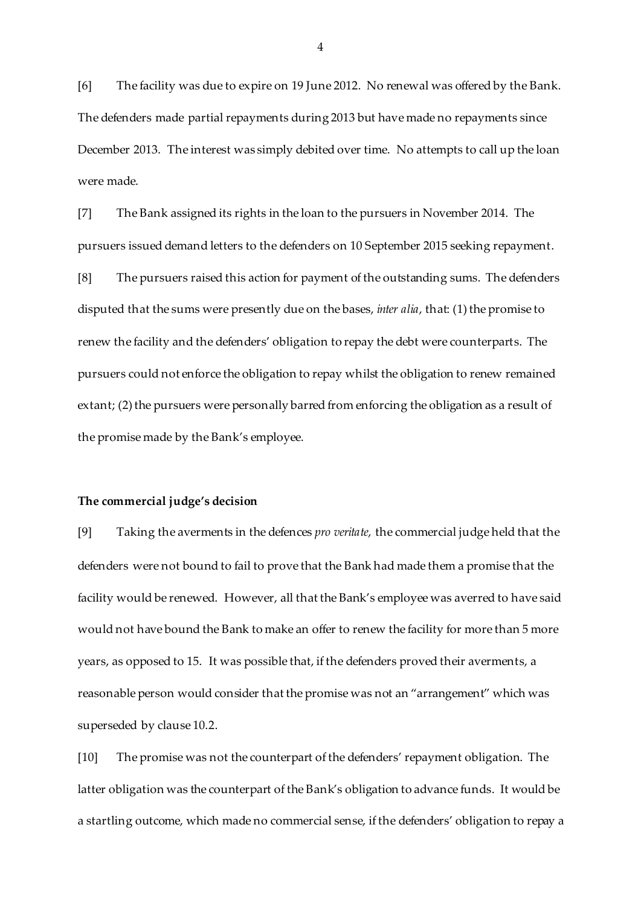[6] The facility was due to expire on 19 June 2012. No renewal was offered by the Bank. The defenders made partial repayments during 2013 but have made no repayments since December 2013. The interest was simply debited over time. No attempts to call up the loan were made.

[7] The Bank assigned its rights in the loan to the pursuers in November 2014. The pursuers issued demand letters to the defenders on 10 September 2015 seeking repayment.

[8] The pursuers raised this action for payment of the outstanding sums. The defenders disputed that the sums were presently due on the bases, *inter alia*, that: (1) the promise to renew the facility and the defenders' obligation to repay the debt were counterparts. The pursuers could not enforce the obligation to repay whilst the obligation to renew remained extant; (2) the pursuers were personally barred from enforcing the obligation as a result of the promise made by the Bank's employee.

### **The commercial judge's decision**

[9] Taking the averments in the defences *pro veritate*, the commercial judge held that the defenders were not bound to fail to prove that the Bank had made them a promise that the facility would be renewed. However, all that the Bank's employee was averred to have said would not have bound the Bank to make an offer to renew the facility for more than 5 more years, as opposed to 15. It was possible that, if the defenders proved their averments, a reasonable person would consider that the promise was not an "arrangement" which was superseded by clause 10.2.

[10] The promise was not the counterpart of the defenders' repayment obligation. The latter obligation was the counterpart of the Bank's obligation to advance funds. It would be a startling outcome, which made no commercial sense, if the defenders' obligation to repay a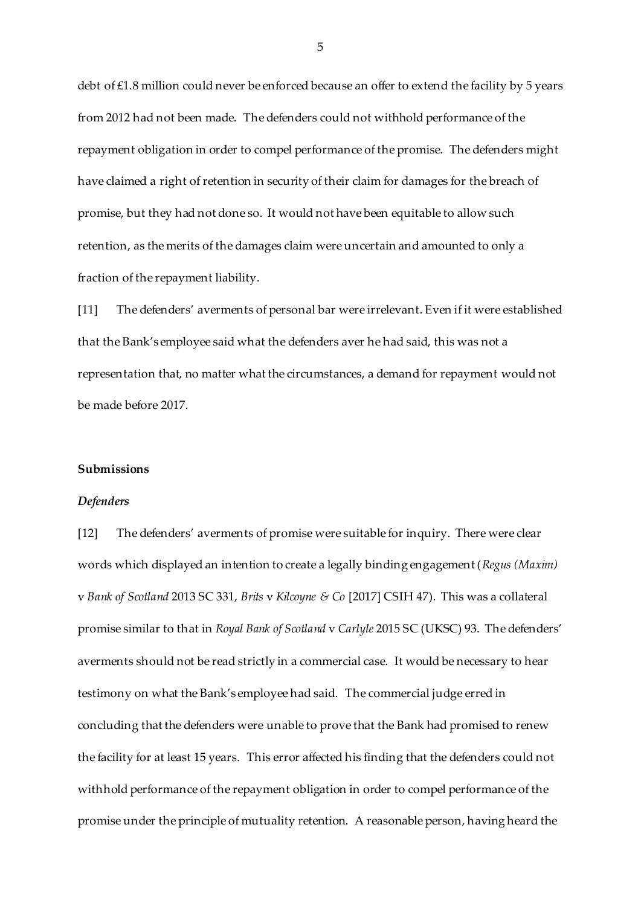debt of £1.8 million could never be enforced because an offer to extend the facility by 5 years from 2012 had not been made. The defenders could not withhold performance of the repayment obligation in order to compel performance of the promise. The defenders might have claimed a right of retention in security of their claim for damages for the breach of promise, but they had not done so. It would not have been equitable to allow such retention, as the merits of the damages claim were uncertain and amounted to only a fraction of the repayment liability.

[11] The defenders' averments of personal bar were irrelevant. Even if it were established that the Bank's employee said what the defenders aver he had said, this was not a representation that, no matter what the circumstances, a demand for repayment would not be made before 2017.

### **Submissions**

#### *Defenders*

[12] The defenders' averments of promise were suitable for inquiry. There were clear words which displayed an intention to create a legally binding engagement (*Regus (Maxim)*  v *Bank of Scotland* 2013 SC 331, *Brits* v *Kilcoyne & Co* [2017] CSIH 47). This was a collateral promise similar to that in *Royal Bank of Scotland* v *Carlyle* 2015 SC (UKSC) 93. The defenders' averments should not be read strictly in a commercial case. It would be necessary to hear testimony on what the Bank's employee had said. The commercial judge erred in concluding that the defenders were unable to prove that the Bank had promised to renew the facility for at least 15 years. This error affected his finding that the defenders could not withhold performance of the repayment obligation in order to compel performance of the promise under the principle of mutuality retention. A reasonable person, having heard the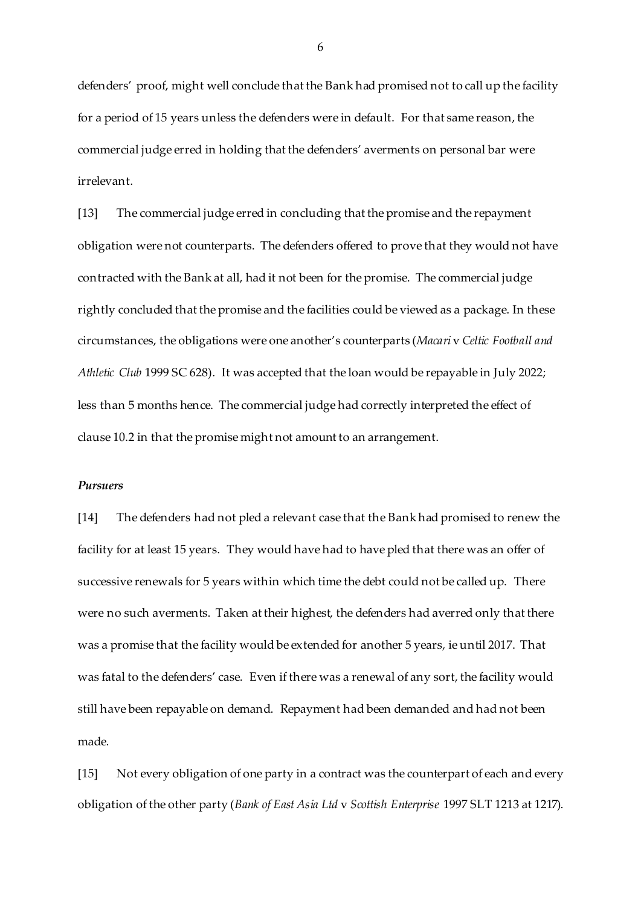defenders' proof, might well conclude that the Bank had promised not to call up the facility for a period of 15 years unless the defenders were in default. For that same reason, the commercial judge erred in holding that the defenders' averments on personal bar were irrelevant.

[13] The commercial judge erred in concluding that the promise and the repayment obligation were not counterparts. The defenders offered to prove that they would not have contracted with the Bank at all, had it not been for the promise. The commercial judge rightly concluded that the promise and the facilities could be viewed as a package. In these circumstances, the obligations were one another's counterparts (*Macari* v *Celtic Football and Athletic Club* 1999 SC 628). It was accepted that the loan would be repayable in July 2022; less than 5 months hence. The commercial judge had correctly interpreted the effect of clause 10.2 in that the promise might not amount to an arrangement.

### *Pursuers*

[14] The defenders had not pled a relevant case that the Bank had promised to renew the facility for at least 15 years. They would have had to have pled that there was an offer of successive renewals for 5 years within which time the debt could not be called up. There were no such averments. Taken at their highest, the defenders had averred only that there was a promise that the facility would be extended for another 5 years, ie until 2017. That was fatal to the defenders' case. Even if there was a renewal of any sort, the facility would still have been repayable on demand. Repayment had been demanded and had not been made.

[15] Not every obligation of one party in a contract was the counterpart of each and every obligation of the other party (*Bank of East Asia Ltd* v *Scottish Enterprise* 1997 SLT 1213 at 1217).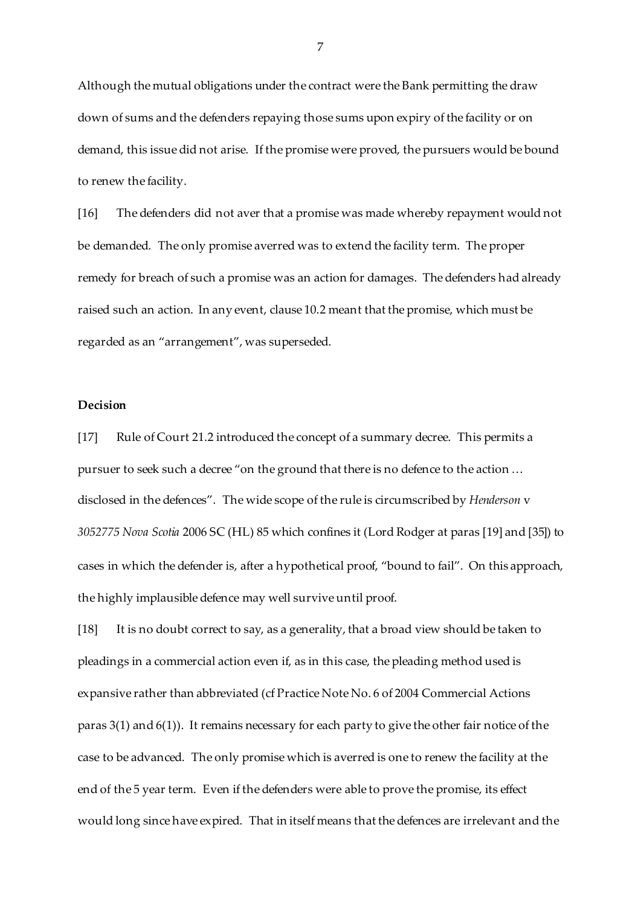Although the mutual obligations under the contract were the Bank permitting the draw down of sums and the defenders repaying those sums upon expiry of the facility or on demand, this issue did not arise. If the promise were proved, the pursuers would be bound to renew the facility.

[16] The defenders did not aver that a promise was made whereby repayment would not be demanded. The only promise averred was to extend the facility term. The proper remedy for breach of such a promise was an action for damages. The defenders had already raised such an action. In any event, clause 10.2 meant that the promise, which must be regarded as an "arrangement", was superseded.

## **Decision**

[17] Rule of Court 21.2 introduced the concept of a summary decree. This permits a pursuer to seek such a decree "on the ground that there is no defence to the action … disclosed in the defences". The wide scope of the rule is circumscribed by *Henderson* v *3052775 Nova Scotia* 2006 SC (HL) 85 which confines it (Lord Rodger at paras [19] and [35]) to cases in which the defender is, after a hypothetical proof, "bound to fail". On this approach, the highly implausible defence may well survive until proof.

[18] It is no doubt correct to say, as a generality, that a broad view should be taken to pleadings in a commercial action even if, as in this case, the pleading method used is expansive rather than abbreviated (cf Practice Note No. 6 of 2004 Commercial Actions paras 3(1) and 6(1)). It remains necessary for each party to give the other fair notice of the case to be advanced. The only promise which is averred is one to renew the facility at the end of the 5 year term. Even if the defenders were able to prove the promise, its effect would long since have expired. That in itself means that the defences are irrelevant and the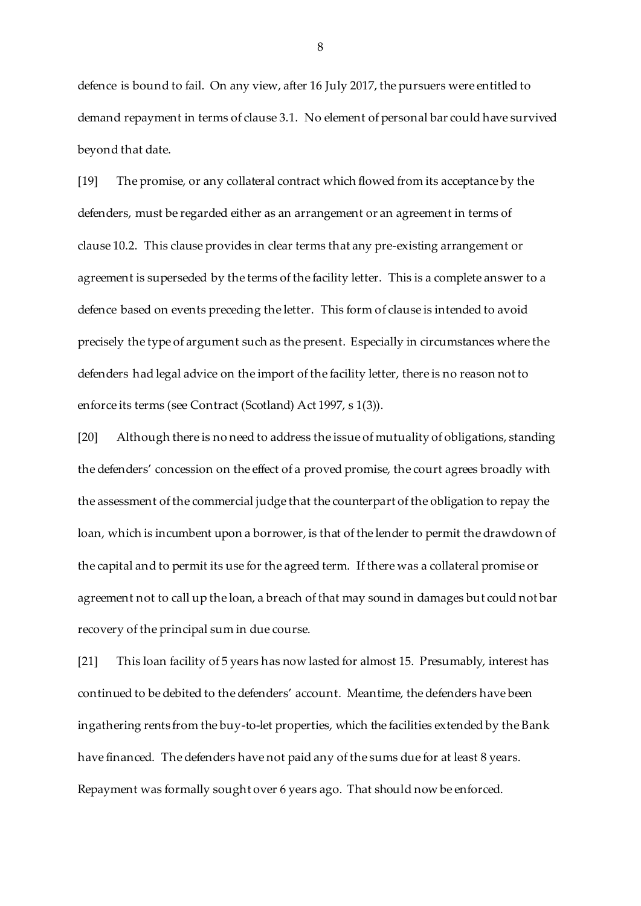defence is bound to fail. On any view, after 16 July 2017, the pursuers were entitled to demand repayment in terms of clause 3.1. No element of personal bar could have survived beyond that date.

[19] The promise, or any collateral contract which flowed from its acceptance by the defenders, must be regarded either as an arrangement or an agreement in terms of clause 10.2. This clause provides in clear terms that any pre-existing arrangement or agreement is superseded by the terms of the facility letter. This is a complete answer to a defence based on events preceding the letter. This form of clause is intended to avoid precisely the type of argument such as the present. Especially in circumstances where the defenders had legal advice on the import of the facility letter, there is no reason not to enforce its terms (see Contract (Scotland) Act 1997, s 1(3)).

[20] Although there is no need to address the issue of mutuality of obligations, standing the defenders' concession on the effect of a proved promise, the court agrees broadly with the assessment of the commercial judge that the counterpart of the obligation to repay the loan, which is incumbent upon a borrower, is that of the lender to permit the drawdown of the capital and to permit its use for the agreed term. If there was a collateral promise or agreement not to call up the loan, a breach of that may sound in damages but could not bar recovery of the principal sum in due course.

[21] This loan facility of 5 years has now lasted for almost 15. Presumably, interest has continued to be debited to the defenders' account. Meantime, the defenders have been ingathering rents from the buy-to-let properties, which the facilities extended by the Bank have financed. The defenders have not paid any of the sums due for at least 8 years. Repayment was formally sought over 6 years ago. That should now be enforced.